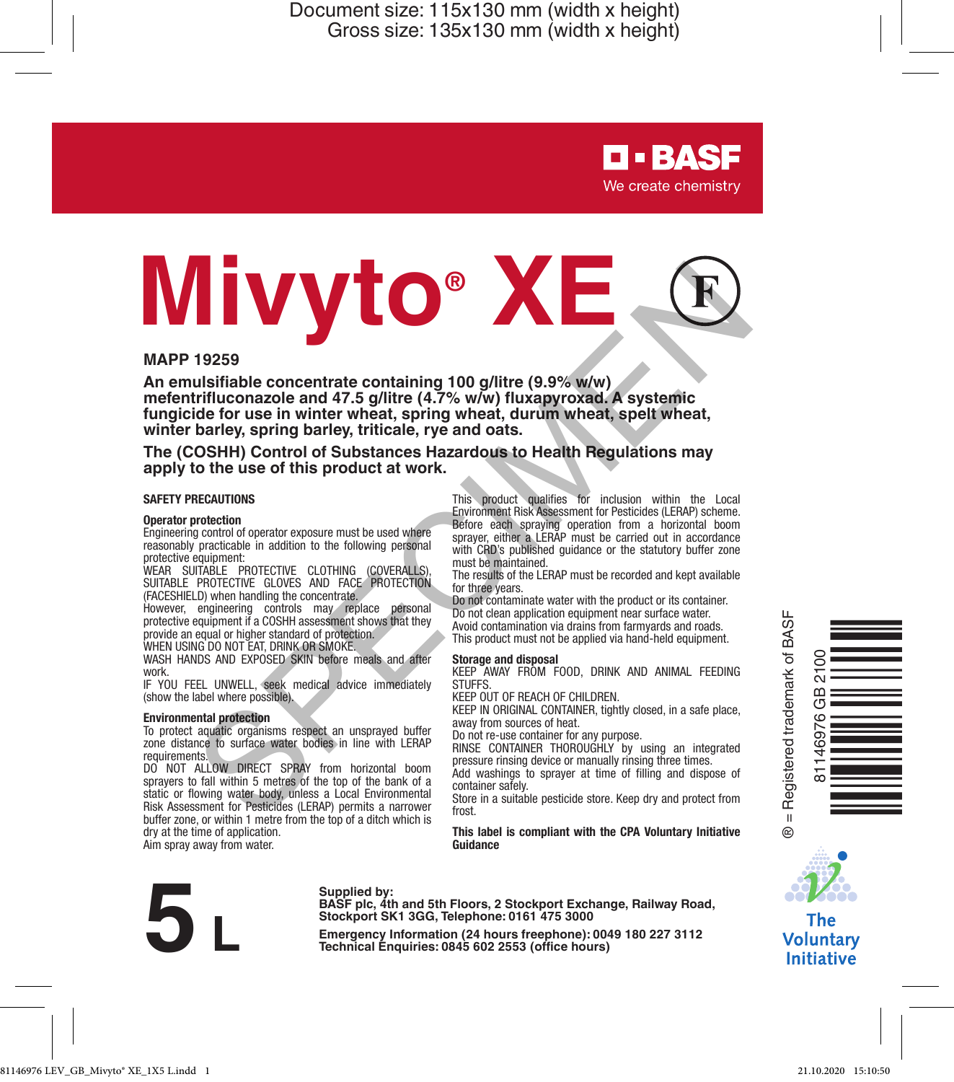> **D-BASF** We create chemistry

# **Mivyto® XE** T19259<br>
19259<br>
Ustifithle concentrate containing 100 gilltre (9.9% www.<br>
urifluconazole and 47.5 gilltre (4.7% wiw) fluxapyroxid. A systemic<br>
trifluconazole and 47.5 gilltre (4.7% wiw) fluxapyroxid. A systemic<br>
trifluconaz

### **MAPP 19259**

**An emulsifiable concentrate containing 100 g/litre (9.9% w/w) mefentrifluconazole and 47.5 g/litre (4.7% w/w) fluxapyroxad. A systemic fungicide for use in winter wheat, spring wheat, durum wheat, spelt wheat, winter barley, spring barley, triticale, rye and oats.**

### **The (COSHH) Control of Substances Hazardous to Health Regulations may apply to the use of this product at work.**

### **SAFETY PRECAUTIONS**

### **Operator protection**

Engineering control of operator exposure must be used where reasonably practicable in addition to the following personal protective equipment:

WEAR SUITABLE PROTECTIVE CLOTHING (COVERALLS), SUITABLE PROTECTIVE GLOVES AND FACE PROTECTION (FACESHIELD) when handling the concentrate.

However, engineering controls may replace personal protective equipment if a COSHH assessment shows that they provide an equal or higher standard of protection. WHEN USING DO NOT EAT, DRINK OR SMOKE

WASH HANDS AND EXPOSED SKIN before meals and after work.

IF YOU FEEL UNWELL, seek medical advice immediately (show the label where possible).

### **Environmental protection**

To protect aquatic organisms respect an unsprayed buffer zone distance to surface water bodies in line with LERAP requirements.

DO NOT ALLOW DIRECT SPRAY from horizontal boom sprayers to fall within 5 metres of the top of the bank of a static or flowing water body, unless a Local Environmental Risk Assessment for Pesticides (LERAP) permits a narrower buffer zone, or within 1 metre from the top of a ditch which is dry at the time of application. Aim spray away from water.

This product qualifies for inclusion within the Local Environment Risk Assessment for Pesticides (LERAP) scheme. Before each spraying operation from a horizontal boom sprayer, either a LERAP must be carried out in accordance with CRD's published guidance or the statutory buffer zone must be maintained.

The results of the LERAP must be recorded and kept available for three years.

Do not contaminate water with the product or its container. Do not clean application equipment near surface water. Avoid contamination via drains from farmyards and roads. This product must not be applied via hand-held equipment.

### **Storage and disposal**

KEEP AWAY FROM FOOD, DRINK AND ANIMAL FEEDING **STUFFS** 

KEEP OUT OF REACH OF CHILDREN.

KEEP IN ORIGINAL CONTAINER, tightly closed, in a safe place, away from sources of heat.

Do not re-use container for any purpose. RINSE CONTAINER THOROUGHLY by using an integrated pressure rinsing device or manually rinsing three times. Add washings to sprayer at time of filling and dispose of

container safely.

Store in a suitable pesticide store. Keep dry and protect from frost.

**This label is compliant with the CPA Voluntary Initiative Guidance**



Supplied by:<br>
BASF plc, 4th and 5th Floors, 2 Stockport Exchange, Railway Road,<br>
Stockport SK1 3GG, Telephone: 0161 475 3000<br>
Emergency Information (24 hours freephone): 0049 180 227 3112<br>
Technical Enquiries: 0845 602 255 **Stockport SK1 3GG, Telephone: 0161 475 3000**





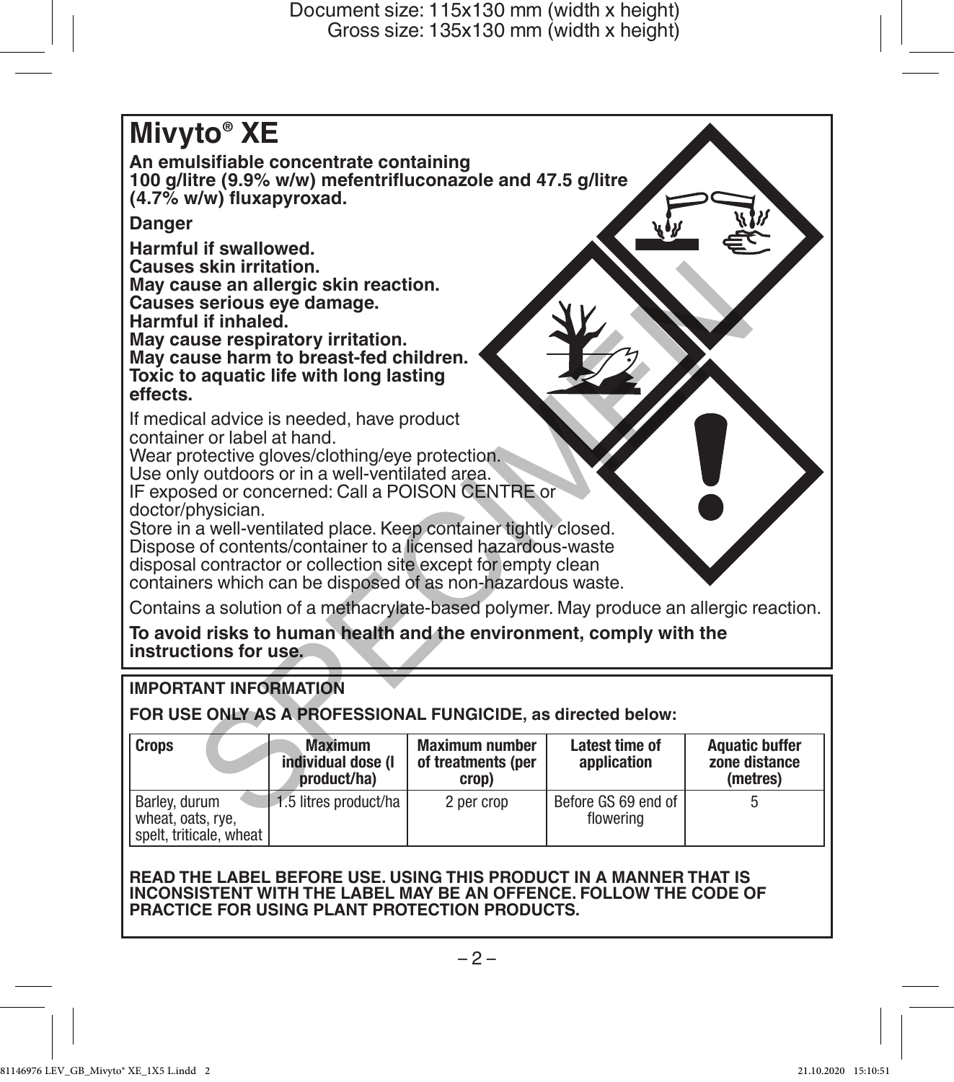

# **IMPORTANT INFORMATION**

**FOR USE ONLY AS A PROFESSIONAL FUNGICIDE, as directed below:**

| <b>Crops</b>                                                  | <b>Maximum</b><br>individual dose (I<br>product/ha) | <b>Maximum number</b><br>of treatments (per<br>crop) | Latest time of<br>application    | <b>Aquatic buffer</b><br>zone distance<br>(metres) |
|---------------------------------------------------------------|-----------------------------------------------------|------------------------------------------------------|----------------------------------|----------------------------------------------------|
| Barlev. durum<br>wheat, oats, rye,<br>spelt, triticale, wheat | 1.5 litres product/ha                               | 2 per crop                                           | Before GS 69 end of<br>flowering |                                                    |

## **READ THE LABEL BEFORE USE. USING THIS PRODUCT IN A MANNER THAT IS INCONSISTENT WITH THE LABEL MAY BE AN OFFENCE. FOLLOW THE CODE OF PRACTICE FOR USING PLANT PROTECTION PRODUCTS.**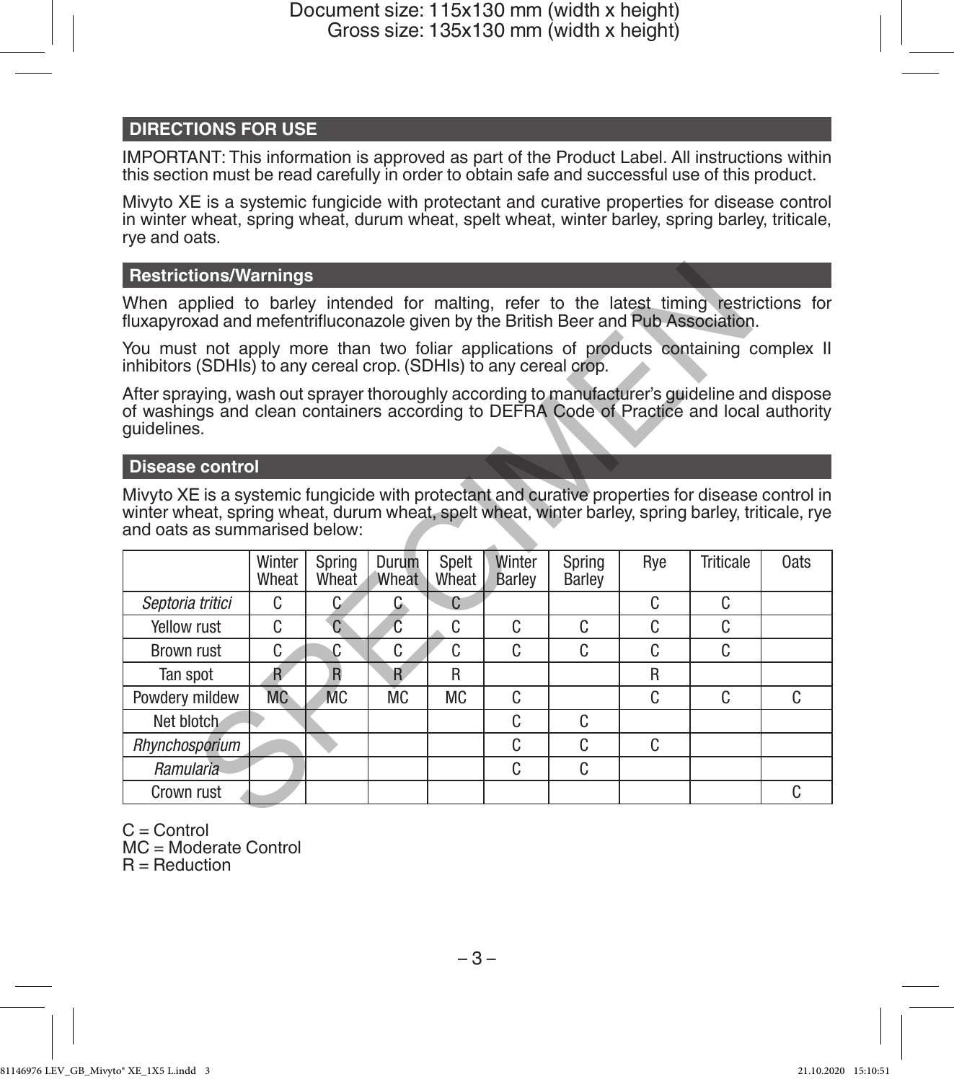# **DIRECTIONS FOR USE**

IMPORTANT: This information is approved as part of the Product Label. All instructions within this section must be read carefully in order to obtain safe and successful use of this product.

Mivyto XE is a systemic fungicide with protectant and curative properties for disease control in winter wheat, spring wheat, durum wheat, spelt wheat, winter barley, spring barley, triticale, rye and oats.

# **Restrictions/Warnings**

# **Disease control**

| <b>Restrictions/Warnings</b>                                                                                                                                                                                                            |                 |                 |                |                |                  |                  |     |                  |      |  |  |  |
|-----------------------------------------------------------------------------------------------------------------------------------------------------------------------------------------------------------------------------------------|-----------------|-----------------|----------------|----------------|------------------|------------------|-----|------------------|------|--|--|--|
| When applied to barley intended for malting, refer to the latest timing restrictions for<br>fluxapyroxad and mefentrifluconazole given by the British Beer and Pub Association.                                                         |                 |                 |                |                |                  |                  |     |                  |      |  |  |  |
| You must not apply more than two foliar applications of products containing complex II<br>inhibitors (SDHIs) to any cereal crop. (SDHIs) to any cereal crop.                                                                            |                 |                 |                |                |                  |                  |     |                  |      |  |  |  |
| After spraying, wash out sprayer thoroughly according to manufacturer's guideline and dispose<br>of washings and clean containers according to DEFRA Code of Practice and local authority<br>quidelines.                                |                 |                 |                |                |                  |                  |     |                  |      |  |  |  |
| <b>Disease control</b>                                                                                                                                                                                                                  |                 |                 |                |                |                  |                  |     |                  |      |  |  |  |
| Mivyto XE is a systemic fungicide with protectant and curative properties for disease control in<br>winter wheat, spring wheat, durum wheat, spelt wheat, winter barley, spring barley, triticale, rye<br>and oats as summarised below: |                 |                 |                |                |                  |                  |     |                  |      |  |  |  |
|                                                                                                                                                                                                                                         | Winter<br>Wheat | Spring<br>Wheat | Durum<br>Wheat | Spelt<br>Wheat | Winter<br>Barley | Spring<br>Barley | Rye | <b>Triticale</b> | 0ats |  |  |  |
| Septoria tritici                                                                                                                                                                                                                        | C               | C               | G.             | C              |                  |                  | C   | C                |      |  |  |  |
| Yellow rust                                                                                                                                                                                                                             | C               | $\mathcal{C}$   | Ć              | C              | C.               | C                | C   | C                |      |  |  |  |
| Brown rust                                                                                                                                                                                                                              | C               | C               | C              | C              | C                | C                | C   | C                |      |  |  |  |
| Tan spot                                                                                                                                                                                                                                | R               | $\overline{R}$  | R              | R              |                  |                  | R   |                  |      |  |  |  |
| Powdery mildew                                                                                                                                                                                                                          | <b>MC</b>       | <b>MC</b>       | МC             | <b>MC</b>      | C                |                  | C   | C.               | C.   |  |  |  |
| Net blotch                                                                                                                                                                                                                              |                 |                 |                |                | C                | C                |     |                  |      |  |  |  |
| Rhynchosporium                                                                                                                                                                                                                          |                 |                 |                |                | C                | C                | C   |                  |      |  |  |  |
| Ramularia                                                                                                                                                                                                                               |                 |                 |                |                | C                | C                |     |                  |      |  |  |  |
| Crown rust                                                                                                                                                                                                                              |                 |                 |                |                |                  |                  |     |                  | C    |  |  |  |
|                                                                                                                                                                                                                                         |                 |                 |                |                |                  |                  |     |                  |      |  |  |  |

 $C =$  Control MC = Moderate Control  $R =$  Reduction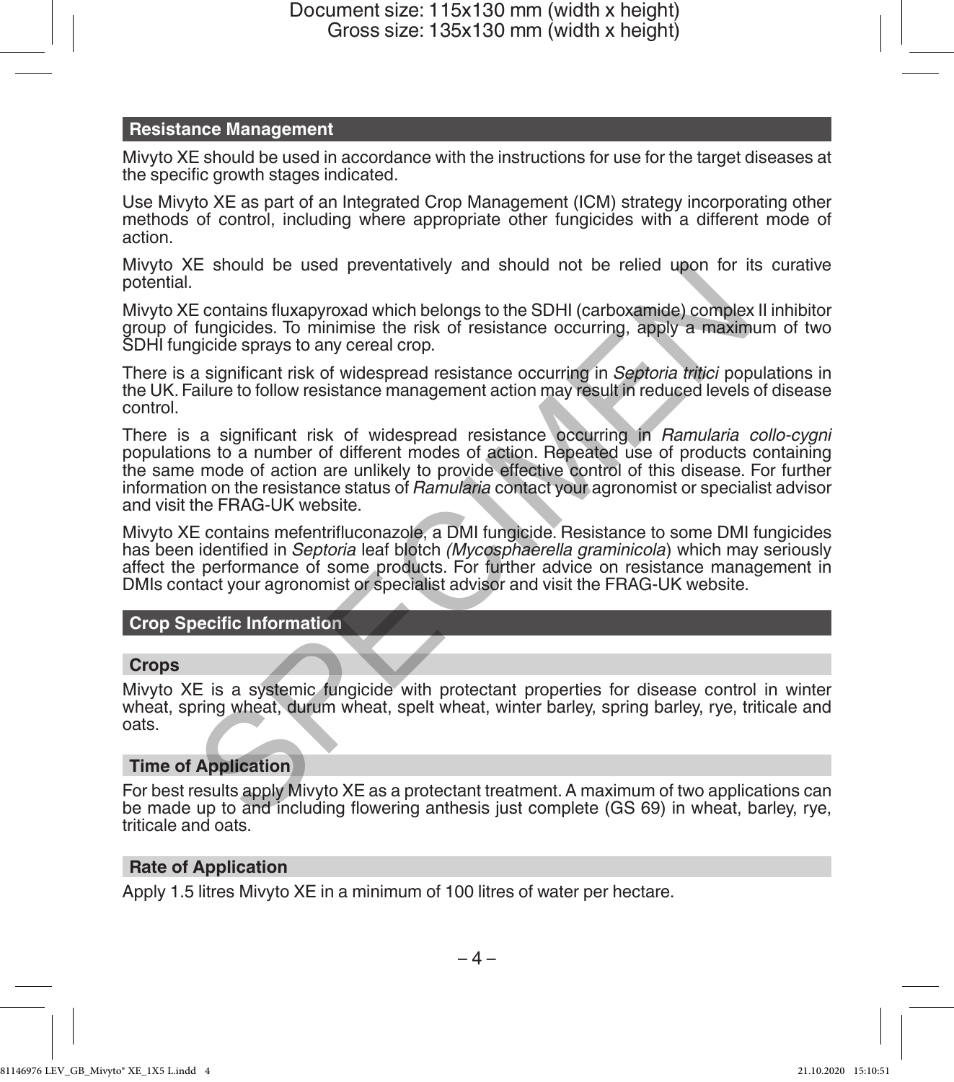# **Resistance Management**

Mivyto XE should be used in accordance with the instructions for use for the target diseases at the specific growth stages indicated.

Use Mivyto XE as part of an Integrated Crop Management (ICM) strategy incorporating other methods of control, including where appropriate other fungicides with a different mode of action.

Mivyto XE should be used preventatively and should not be relied upon for its curative potential.

Mivyto XE contains fluxapyroxad which belongs to the SDHI (carboxamide) complex II inhibitor group of fungicides. To minimise the risk of resistance occurring, apply a maximum of two SDHI fungicide sprays to any cereal crop.

There is a significant risk of widespread resistance occurring in *Septoria tritici* populations in the UK. Failure to follow resistance management action may result in reduced levels of disease control.

There is a significant risk of widespread resistance occurring in *Ramularia collo-cygni* populations to a number of different modes of action. Repeated use of products containing the same mode of action are unlikely to provide effective control of this disease. For further information on the resistance status of *Ramularia* contact your agronomist or specialist advisor and visit the FRAG-UK website. E should be used preventatively and should not be relied upon for it<br>
E contains fluxapyroxad which belongs to the SDHI (carboxamide) complex<br>
functions. To mimims the risk of resistance occurring, apply a maxim<br>
gigide s

Mivyto XE contains mefentrifluconazole, a DMI fungicide. Resistance to some DMI fungicides has been identified in *Septoria* leaf blotch *(Mycosphaerella graminicola*) which may seriously affect the performance of some products. For further advice on resistance management in DMIs contact your agronomist or specialist advisor and visit the FRAG-UK website.

# **Crop Specific Information**

# **Crops**

Mivyto XE is a systemic fungicide with protectant properties for disease control in winter wheat, spring wheat, durum wheat, spelt wheat, winter barley, spring barley, rye, triticale and oats.

# **Time of Application**

For best results apply Mivyto XE as a protectant treatment. A maximum of two applications can be made up to and including flowering anthesis just complete (GS 69) in wheat, barley, rye, triticale and oats.

# **Rate of Application**

Apply 1.5 litres Mivyto XE in a minimum of 100 litres of water per hectare.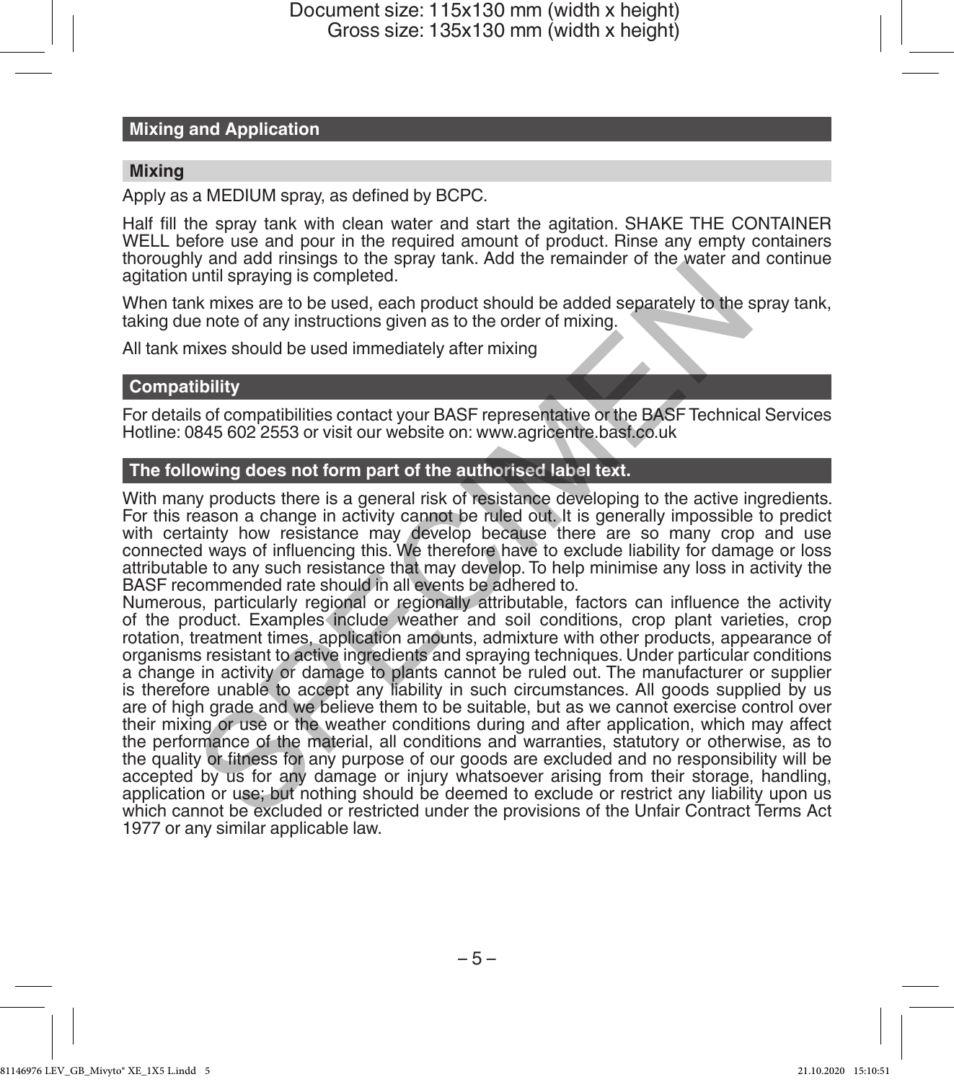### **Mixing and Application**

### **Mixing**

Apply as a MEDIUM spray, as defined by BCPC.

Half fill the spray tank with clean water and start the agitation. SHAKE THE CONTAINER WELL before use and pour in the required amount of product. Rinse any empty containers thoroughly and add rinsings to the spray tank. Add the remainder of the water and continue agitation until spraying is completed.

When tank mixes are to be used, each product should be added separately to the spray tank, taking due note of any instructions given as to the order of mixing.

All tank mixes should be used immediately after mixing

# **Compatibility**

For details of compatibilities contact your BASF representative or the BASF Technical Services Hotline: 0845 602 2553 or visit our website on: www.agricentre.basf.co.uk

## **The following does not form part of the authorised label text.**

With many products there is a general risk of resistance developing to the active ingredients. For this reason a change in activity cannot be ruled out. It is generally impossible to predict with certainty how resistance may develop because there are so many crop and use connected ways of influencing this. We therefore have to exclude liability for damage or loss attributable to any such resistance that may develop. To help minimise any loss in activity the BASF recommended rate should in all events be adhered to.

Numerous, particularly regional or regionally attributable, factors can influence the activity of the product. Examples include weather and soil conditions, crop plant varieties, crop rotation, treatment times, application amounts, admixture with other products, appearance of organisms resistant to active ingredients and spraying techniques. Under particular conditions a change in activity or damage to plants cannot be ruled out. The manufacturer or supplier is therefore unable to accept any liability in such circumstances. All goods supplied by us are of high grade and we believe them to be suitable, but as we cannot exercise control over their mixing or use or the weather conditions during and after application, which may affect the performance of the material, all conditions and warranties, statutory or otherwise, as to the quality or fitness for any purpose of our goods are excluded and no responsibility will be accepted by us for any damage or injury whatsoever arising from their storage, handling, application or use; but nothing should be deemed to exclude or restrict any liability upon us which cannot be excluded or restricted under the provisions of the Unfair Contract Terms Act 1977 or any similar applicable law. y and something to the best and spread to the product about the exist and sumplif spraying is completed.<br>
In this spraying is completed.<br>
In this section and the order of mixing.<br>
In this section and the used immediately a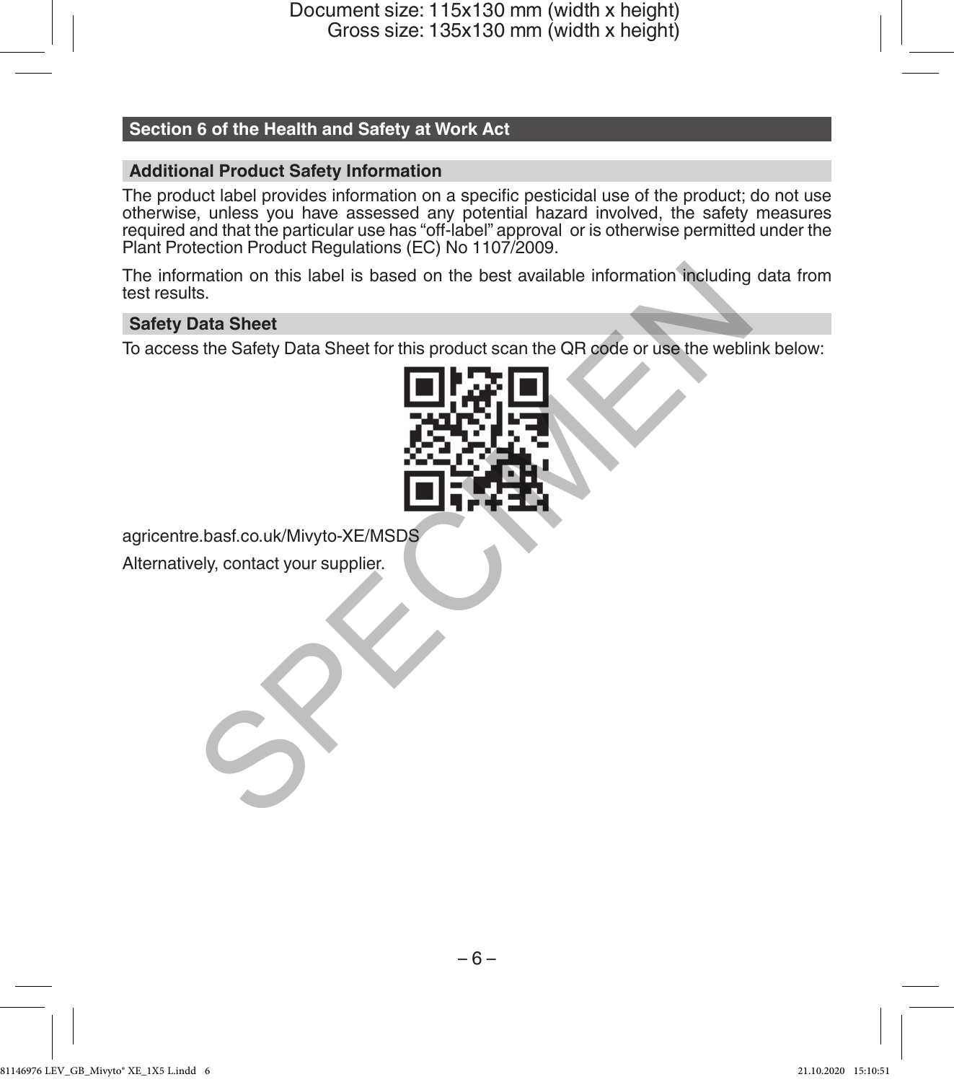# **Section 6 of the Health and Safety at Work Act**

# **Additional Product Safety Information**

The product label provides information on a specific pesticidal use of the product; do not use otherwise, unless you have assessed any potential hazard involved, the safety measures required and that the particular use has "off-label" approval or is otherwise permitted under the Plant Protection Product Regulations (EC) No 1107/2009.

The information on this label is based on the best available information including data from test results.

### **Safety Data Sheet**

To access the Safety Data Sheet for this product scan the QR code or use the weblink below:



agricentre.basf.co.uk/Mivyto-XE/MSDS

Alternatively, contact your supplier.